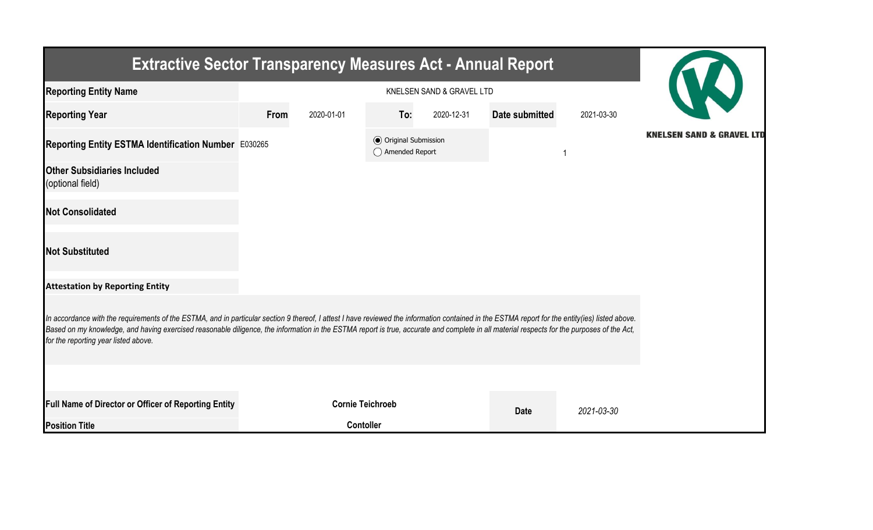| <b>Extractive Sector Transparency Measures Act - Annual Report</b>                                                                                                                                                                                                                                                                                                                                                                    |      |                         |                                                  |            |                |            |                                      |  |  |
|---------------------------------------------------------------------------------------------------------------------------------------------------------------------------------------------------------------------------------------------------------------------------------------------------------------------------------------------------------------------------------------------------------------------------------------|------|-------------------------|--------------------------------------------------|------------|----------------|------------|--------------------------------------|--|--|
| <b>Reporting Entity Name</b>                                                                                                                                                                                                                                                                                                                                                                                                          |      |                         |                                                  |            |                |            |                                      |  |  |
| <b>Reporting Year</b>                                                                                                                                                                                                                                                                                                                                                                                                                 | From | 2020-01-01              | To:                                              | 2020-12-31 | Date submitted | 2021-03-30 |                                      |  |  |
| Reporting Entity ESTMA Identification Number E030265                                                                                                                                                                                                                                                                                                                                                                                  |      |                         | <b>◎</b> Original Submission<br>◯ Amended Report |            |                |            | <b>KNELSEN SAND &amp; GRAVEL LTD</b> |  |  |
| <b>Other Subsidiaries Included</b><br>(optional field)                                                                                                                                                                                                                                                                                                                                                                                |      |                         |                                                  |            |                |            |                                      |  |  |
| <b>Not Consolidated</b>                                                                                                                                                                                                                                                                                                                                                                                                               |      |                         |                                                  |            |                |            |                                      |  |  |
| <b>Not Substituted</b>                                                                                                                                                                                                                                                                                                                                                                                                                |      |                         |                                                  |            |                |            |                                      |  |  |
| <b>Attestation by Reporting Entity</b>                                                                                                                                                                                                                                                                                                                                                                                                |      |                         |                                                  |            |                |            |                                      |  |  |
| In accordance with the requirements of the ESTMA, and in particular section 9 thereof, I attest I have reviewed the information contained in the ESTMA report for the entity(ies) listed above.<br>Based on my knowledge, and having exercised reasonable diligence, the information in the ESTMA report is true, accurate and complete in all material respects for the purposes of the Act,<br>for the reporting year listed above. |      |                         |                                                  |            |                |            |                                      |  |  |
|                                                                                                                                                                                                                                                                                                                                                                                                                                       |      |                         |                                                  |            |                |            |                                      |  |  |
| <b>Full Name of Director or Officer of Reporting Entity</b>                                                                                                                                                                                                                                                                                                                                                                           |      | <b>Cornie Teichroeb</b> |                                                  |            | <b>Date</b>    | 2021-03-30 |                                      |  |  |
| <b>Position Title</b>                                                                                                                                                                                                                                                                                                                                                                                                                 |      | <b>Contoller</b>        |                                                  |            |                |            |                                      |  |  |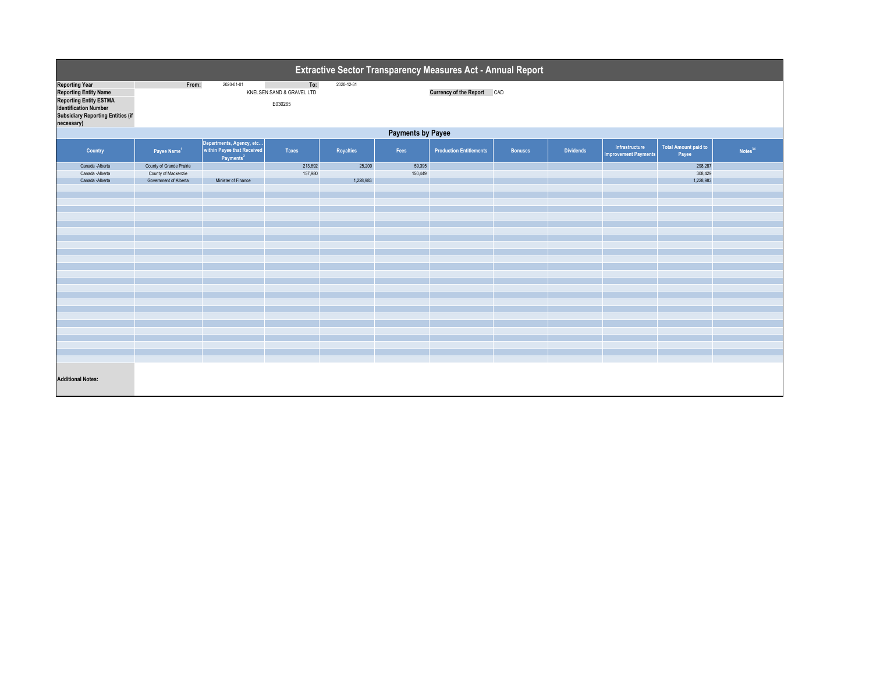| <b>Extractive Sector Transparency Measures Act - Annual Report</b>                                                                                          |                          |                                                                                     |                                             |            |         |                                   |                |                  |                                               |                                      |            |  |
|-------------------------------------------------------------------------------------------------------------------------------------------------------------|--------------------------|-------------------------------------------------------------------------------------|---------------------------------------------|------------|---------|-----------------------------------|----------------|------------------|-----------------------------------------------|--------------------------------------|------------|--|
| <b>Reporting Year</b><br>Reporting Entity Name<br>Reporting Entity ESTMA<br>Identification Number<br><b>Subsidiary Reporting Entities (if</b><br>necessary) | From:                    | 2020-01-01                                                                          | To:<br>KNELSEN SAND & GRAVEL LTD<br>E030265 | 2020-12-31 |         | <b>Currency of the Report CAD</b> |                |                  |                                               |                                      |            |  |
| <b>Payments by Payee</b>                                                                                                                                    |                          |                                                                                     |                                             |            |         |                                   |                |                  |                                               |                                      |            |  |
| <b>Country</b>                                                                                                                                              | Payee Name <sup>1</sup>  | Departments, Agency, etc  <br>  within Payee that Received<br>Payments <sup>2</sup> | <b>Taxes</b>                                | Royalties  | Fees    | <b>Production Entitlements</b>    | <b>Bonuses</b> | <b>Dividends</b> | Infrastructure<br><b>Improvement Payments</b> | <b>Total Amount paid to</b><br>Payee | Notes $34$ |  |
| Canada - Alberta                                                                                                                                            | County of Grande Prairie |                                                                                     | 213,692                                     | 25,200     | 59,395  |                                   |                |                  |                                               | 298,287                              |            |  |
| Canada - Alberta                                                                                                                                            | County of Mackenzie      |                                                                                     | 157,980                                     |            | 150,449 |                                   |                |                  |                                               | 308,429                              |            |  |
| Canada - Alberta                                                                                                                                            | Government of Alberta    | Minister of Finance                                                                 |                                             | 1,228,983  |         |                                   |                |                  |                                               | 1,228,983                            |            |  |
|                                                                                                                                                             |                          |                                                                                     |                                             |            |         |                                   |                |                  |                                               |                                      |            |  |
|                                                                                                                                                             |                          |                                                                                     |                                             |            |         |                                   |                |                  |                                               |                                      |            |  |
|                                                                                                                                                             |                          |                                                                                     |                                             |            |         |                                   |                |                  |                                               |                                      |            |  |
|                                                                                                                                                             |                          |                                                                                     |                                             |            |         |                                   |                |                  |                                               |                                      |            |  |
|                                                                                                                                                             |                          |                                                                                     |                                             |            |         |                                   |                |                  |                                               |                                      |            |  |
|                                                                                                                                                             |                          |                                                                                     |                                             |            |         |                                   |                |                  |                                               |                                      |            |  |
|                                                                                                                                                             |                          |                                                                                     |                                             |            |         |                                   |                |                  |                                               |                                      |            |  |
|                                                                                                                                                             |                          |                                                                                     |                                             |            |         |                                   |                |                  |                                               |                                      |            |  |
|                                                                                                                                                             |                          |                                                                                     |                                             |            |         |                                   |                |                  |                                               |                                      |            |  |
|                                                                                                                                                             |                          |                                                                                     |                                             |            |         |                                   |                |                  |                                               |                                      |            |  |
|                                                                                                                                                             |                          |                                                                                     |                                             |            |         |                                   |                |                  |                                               |                                      |            |  |
|                                                                                                                                                             |                          |                                                                                     |                                             |            |         |                                   |                |                  |                                               |                                      |            |  |
|                                                                                                                                                             |                          |                                                                                     |                                             |            |         |                                   |                |                  |                                               |                                      |            |  |
|                                                                                                                                                             |                          |                                                                                     |                                             |            |         |                                   |                |                  |                                               |                                      |            |  |
|                                                                                                                                                             |                          |                                                                                     |                                             |            |         |                                   |                |                  |                                               |                                      |            |  |
|                                                                                                                                                             |                          |                                                                                     |                                             |            |         |                                   |                |                  |                                               |                                      |            |  |
|                                                                                                                                                             |                          |                                                                                     |                                             |            |         |                                   |                |                  |                                               |                                      |            |  |
|                                                                                                                                                             |                          |                                                                                     |                                             |            |         |                                   |                |                  |                                               |                                      |            |  |
|                                                                                                                                                             |                          |                                                                                     |                                             |            |         |                                   |                |                  |                                               |                                      |            |  |
|                                                                                                                                                             |                          |                                                                                     |                                             |            |         |                                   |                |                  |                                               |                                      |            |  |
|                                                                                                                                                             |                          |                                                                                     |                                             |            |         |                                   |                |                  |                                               |                                      |            |  |
| <b>Additional Notes:</b>                                                                                                                                    |                          |                                                                                     |                                             |            |         |                                   |                |                  |                                               |                                      |            |  |